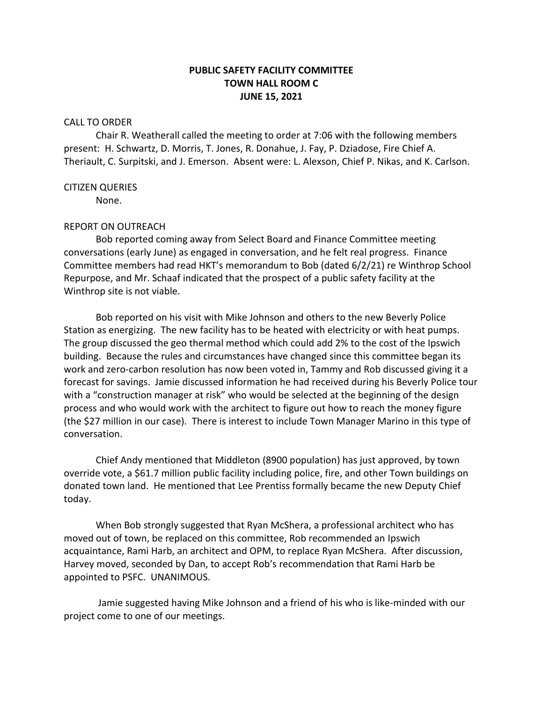# **PUBLIC SAFETY FACILITY COMMITTEE TOWN HALL ROOM C JUNE 15, 2021**

## CALL TO ORDER

Chair R. Weatherall called the meeting to order at 7:06 with the following members present: H. Schwartz, D. Morris, T. Jones, R. Donahue, J. Fay, P. Dziadose, Fire Chief A. Theriault, C. Surpitski, and J. Emerson. Absent were: L. Alexson, Chief P. Nikas, and K. Carlson.

### CITIZEN QUERIES

None.

### REPORT ON OUTREACH

Bob reported coming away from Select Board and Finance Committee meeting conversations (early June) as engaged in conversation, and he felt real progress. Finance Committee members had read HKT's memorandum to Bob (dated 6/2/21) re Winthrop School Repurpose, and Mr. Schaaf indicated that the prospect of a public safety facility at the Winthrop site is not viable.

Bob reported on his visit with Mike Johnson and others to the new Beverly Police Station as energizing. The new facility has to be heated with electricity or with heat pumps. The group discussed the geo thermal method which could add 2% to the cost of the Ipswich building. Because the rules and circumstances have changed since this committee began its work and zero-carbon resolution has now been voted in, Tammy and Rob discussed giving it a forecast for savings. Jamie discussed information he had received during his Beverly Police tour with a "construction manager at risk" who would be selected at the beginning of the design process and who would work with the architect to figure out how to reach the money figure (the \$27 million in our case). There is interest to include Town Manager Marino in this type of conversation.

Chief Andy mentioned that Middleton (8900 population) has just approved, by town override vote, a \$61.7 million public facility including police, fire, and other Town buildings on donated town land. He mentioned that Lee Prentiss formally became the new Deputy Chief today.

When Bob strongly suggested that Ryan McShera, a professional architect who has moved out of town, be replaced on this committee, Rob recommended an Ipswich acquaintance, Rami Harb, an architect and OPM, to replace Ryan McShera. After discussion, Harvey moved, seconded by Dan, to accept Rob's recommendation that Rami Harb be appointed to PSFC. UNANIMOUS.

Jamie suggested having Mike Johnson and a friend of his who is like-minded with our project come to one of our meetings.